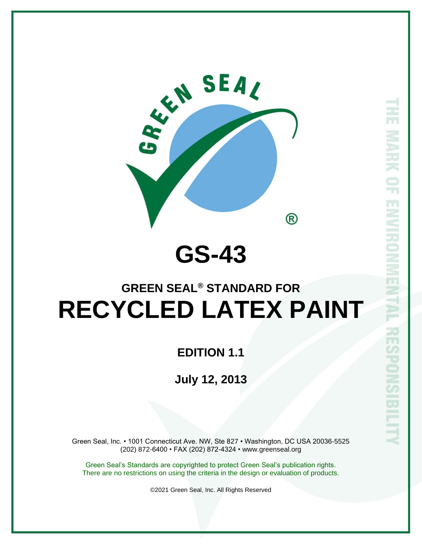

# **GS-43**

# **GREEN SEAL® STANDARD FOR RECYCLED LATEX PAINT**

### **EDITION 1.1**

## **July 12, 2013**

Green Seal, Inc. • 1001 Connecticut Ave. NW, Ste 827 • Washington, DC USA 20036-5525 (202) 872-6400 • FAX (202) 872-4324 • www.greenseal.org

Green Seal's Standards are copyrighted to protect Green Seal's publication rights. There are no restrictions on using the criteria in the design or evaluation of products.

©2021 Green Seal, Inc. All Rights Reserved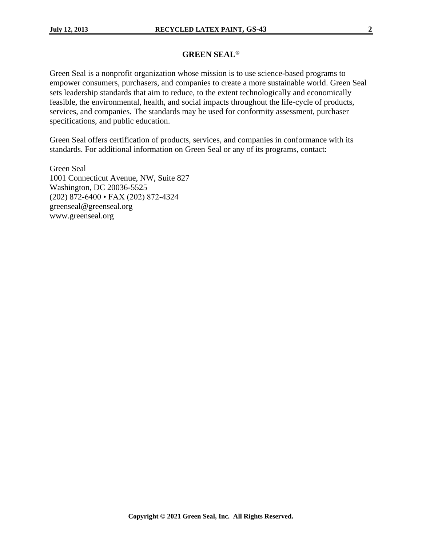#### **GREEN SEAL®**

Green Seal is a nonprofit organization whose mission is to use science-based programs to empower consumers, purchasers, and companies to create a more sustainable world. Green Seal sets leadership standards that aim to reduce, to the extent technologically and economically feasible, the environmental, health, and social impacts throughout the life-cycle of products, services, and companies. The standards may be used for conformity assessment, purchaser specifications, and public education.

Green Seal offers certification of products, services, and companies in conformance with its standards. For additional information on Green Seal or any of its programs, contact:

Green Seal 1001 Connecticut Avenue, NW, Suite 827 Washington, DC 20036-5525 (202) 872-6400 • FAX (202) 872-4324 greenseal@greenseal.org www.greenseal.org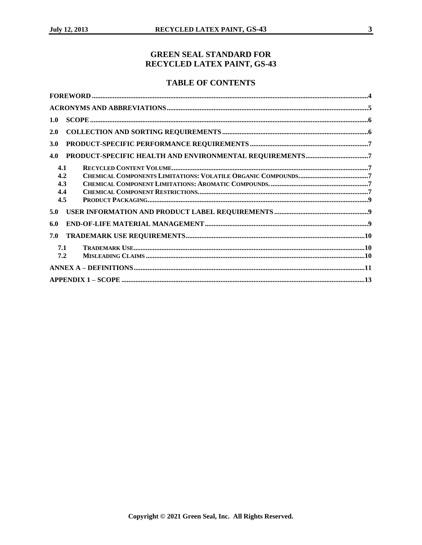#### **GREEN SEAL STANDARD FOR RECYCLED LATEX PAINT, GS-43**

#### **TABLE OF CONTENTS**

| 1.0                             |  |
|---------------------------------|--|
| 2.0                             |  |
| 3.0                             |  |
| 4.0                             |  |
| 4.1<br>4.2<br>4.3<br>4.4<br>4.5 |  |
| 5.0                             |  |
| 6.0                             |  |
| 7.0                             |  |
| 7.1<br>7.2                      |  |
|                                 |  |
|                                 |  |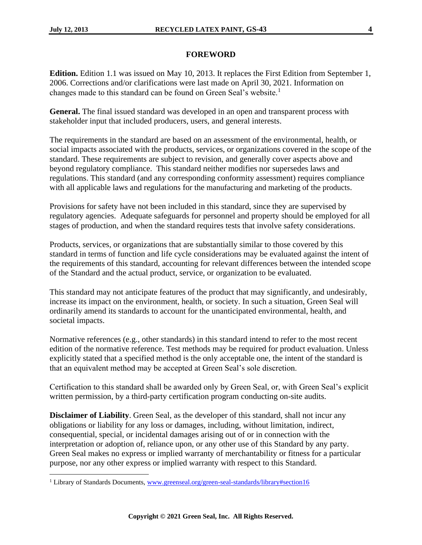#### **FOREWORD**

<span id="page-3-0"></span>**Edition.** Edition 1.1 was issued on May 10, 2013. It replaces the First Edition from September 1, 2006. Corrections and/or clarifications were last made on April 30, 2021. Information on changes made to this standard can be found on Green Seal's website.<sup>1</sup>

**General.** The final issued standard was developed in an open and transparent process with stakeholder input that included producers, users, and general interests.

The requirements in the standard are based on an assessment of the environmental, health, or social impacts associated with the products, services, or organizations covered in the scope of the standard. These requirements are subject to revision, and generally cover aspects above and beyond regulatory compliance. This standard neither modifies nor supersedes laws and regulations. This standard (and any corresponding conformity assessment) requires compliance with all applicable laws and regulations for the manufacturing and marketing of the products.

Provisions for safety have not been included in this standard, since they are supervised by regulatory agencies. Adequate safeguards for personnel and property should be employed for all stages of production, and when the standard requires tests that involve safety considerations.

Products, services, or organizations that are substantially similar to those covered by this standard in terms of function and life cycle considerations may be evaluated against the intent of the requirements of this standard, accounting for relevant differences between the intended scope of the Standard and the actual product, service, or organization to be evaluated.

This standard may not anticipate features of the product that may significantly, and undesirably, increase its impact on the environment, health, or society. In such a situation, Green Seal will ordinarily amend its standards to account for the unanticipated environmental, health, and societal impacts.

Normative references (e.g., other standards) in this standard intend to refer to the most recent edition of the normative reference. Test methods may be required for product evaluation. Unless explicitly stated that a specified method is the only acceptable one, the intent of the standard is that an equivalent method may be accepted at Green Seal's sole discretion.

Certification to this standard shall be awarded only by Green Seal, or, with Green Seal's explicit written permission, by a third-party certification program conducting on-site audits.

**Disclaimer of Liability**. Green Seal, as the developer of this standard, shall not incur any obligations or liability for any loss or damages, including, without limitation, indirect, consequential, special, or incidental damages arising out of or in connection with the interpretation or adoption of, reliance upon, or any other use of this Standard by any party. Green Seal makes no express or implied warranty of merchantability or fitness for a particular purpose, nor any other express or implied warranty with respect to this Standard.

<sup>&</sup>lt;sup>1</sup> Library of Standards Documents, [www.greenseal.org/green-seal-standards/library#section16](http://www.greenseal.org/green-seal-standards/library#section16)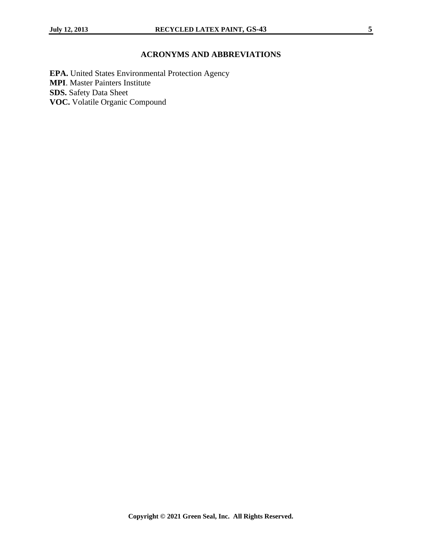### **ACRONYMS AND ABBREVIATIONS**

<span id="page-4-0"></span>**EPA.** United States Environmental Protection Agency **MPI**. Master Painters Institute **SDS.** Safety Data Sheet **VOC.** Volatile Organic Compound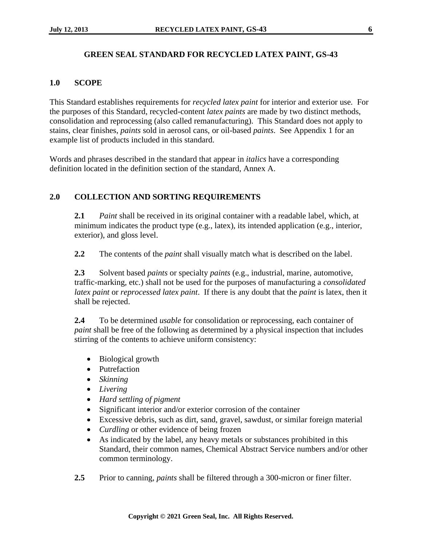#### **GREEN SEAL STANDARD FOR RECYCLED LATEX PAINT, GS-43**

#### <span id="page-5-0"></span>**1.0 SCOPE**

This Standard establishes requirements for *recycled latex paint* for interior and exterior use*.* For the purposes of this Standard, recycled-content *latex paints* are made by two distinct methods, consolidation and reprocessing (also called remanufacturing). This Standard does not apply to stains, clear finishes, *paints* sold in aerosol cans, or oil-based *paints*. See Appendix 1 for an example list of products included in this standard.

Words and phrases described in the standard that appear in *italics* have a corresponding definition located in the definition section of the standard, Annex A.

#### <span id="page-5-1"></span>**2.0 COLLECTION AND SORTING REQUIREMENTS**

**2.1** *Paint* shall be received in its original container with a readable label, which, at minimum indicates the product type (e.g., latex), its intended application (e.g., interior, exterior), and gloss level.

**2.2** The contents of the *paint* shall visually match what is described on the label.

**2.3** Solvent based *paints* or specialty *paints* (e.g., industrial, marine, automotive, traffic-marking, etc.) shall not be used for the purposes of manufacturing a *consolidated latex paint* or *reprocessed latex paint*. If there is any doubt that the *paint* is latex, then it shall be rejected.

**2.4** To be determined *usable* for consolidation or reprocessing, each container of *paint* shall be free of the following as determined by a physical inspection that includes stirring of the contents to achieve uniform consistency:

- Biological growth
- Putrefaction
- *Skinning*
- *Livering*
- *Hard settling of pigment*
- Significant interior and/or exterior corrosion of the container
- Excessive debris, such as dirt, sand, gravel, sawdust, or similar foreign material
- *Curdling* or other evidence of being frozen
- As indicated by the label, any heavy metals or substances prohibited in this Standard, their common names, Chemical Abstract Service numbers and/or other common terminology.
- **2.5** Prior to canning, *paints* shall be filtered through a 300-micron or finer filter.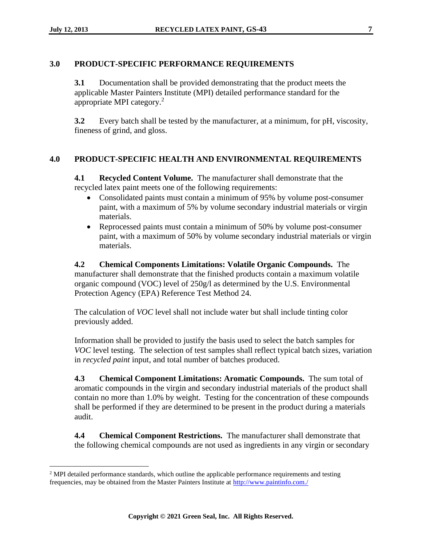#### <span id="page-6-0"></span>**3.0 PRODUCT-SPECIFIC PERFORMANCE REQUIREMENTS**

**3.1** Documentation shall be provided demonstrating that the product meets the applicable Master Painters Institute (MPI) detailed performance standard for the appropriate MPI category.<sup>2</sup>

**3.2** Every batch shall be tested by the manufacturer, at a minimum, for pH, viscosity, fineness of grind, and gloss.

#### <span id="page-6-2"></span><span id="page-6-1"></span>**4.0 PRODUCT-SPECIFIC HEALTH AND ENVIRONMENTAL REQUIREMENTS**

**4.1 Recycled Content Volume.** The manufacturer shall demonstrate that the recycled latex paint meets one of the following requirements:

- Consolidated paints must contain a minimum of 95% by volume post-consumer paint, with a maximum of 5% by volume secondary industrial materials or virgin materials.
- Reprocessed paints must contain a minimum of 50% by volume post-consumer paint, with a maximum of 50% by volume secondary industrial materials or virgin materials.

<span id="page-6-3"></span>**4.2 Chemical Components Limitations: Volatile Organic Compounds.** The manufacturer shall demonstrate that the finished products contain a maximum volatile organic compound (VOC) level of 250g/l as determined by the U.S. Environmental Protection Agency (EPA) Reference Test Method 24.

The calculation of *VOC* level shall not include water but shall include tinting color previously added.

Information shall be provided to justify the basis used to select the batch samples for *VOC* level testing. The selection of test samples shall reflect typical batch sizes, variation in *recycled paint* input, and total number of batches produced.

<span id="page-6-4"></span>**4.3 Chemical Component Limitations: Aromatic Compounds.** The sum total of aromatic compounds in the virgin and secondary industrial materials of the product shall contain no more than 1.0% by weight. Testing for the concentration of these compounds shall be performed if they are determined to be present in the product during a materials audit.

<span id="page-6-5"></span>**4.4 Chemical Component Restrictions.** The manufacturer shall demonstrate that the following chemical compounds are not used as ingredients in any virgin or secondary

 $2$  MPI detailed performance standards, which outline the applicable performance requirements and testing frequencies, may be obtained from the Master Painters Institute at<http://www.paintinfo.com./>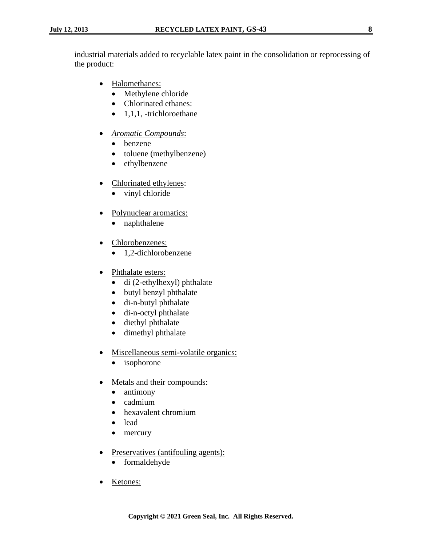industrial materials added to recyclable latex paint in the consolidation or reprocessing of the product:

- Halomethanes:
	- Methylene chloride
	- Chlorinated ethanes:
	- $\bullet$  1,1,1, -trichloroethane
- *Aromatic Compounds*:
	- benzene
	- toluene (methylbenzene)
	- ethylbenzene
- Chlorinated ethylenes:
	- vinyl chloride
- Polynuclear aromatics:
	- naphthalene
- Chlorobenzenes:
	- 1,2-dichlorobenzene
- Phthalate esters:
	- di (2-ethylhexyl) phthalate
	- butyl benzyl phthalate
	- di-n-butyl phthalate
	- di-n-octyl phthalate
	- diethyl phthalate
	- dimethyl phthalate
- Miscellaneous semi-volatile organics:
	- isophorone
- Metals and their compounds:
	- antimony
	- cadmium
	- hexavalent chromium
	- lead
	- mercury
- Preservatives (antifouling agents):
	- formaldehyde
- Ketones: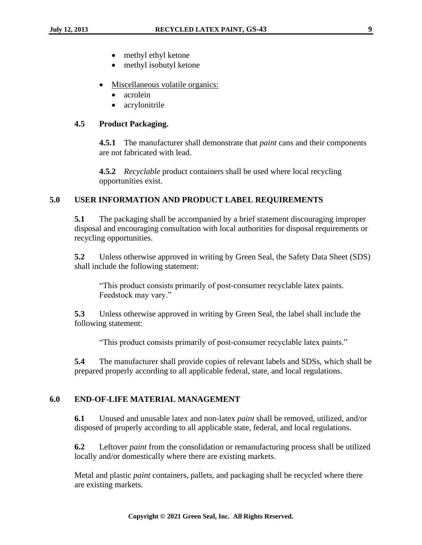- methyl ethyl ketone
- methyl isobutyl ketone
- Miscellaneous volatile organics:
	- acrolein
	- acrylonitrile

#### <span id="page-8-0"></span>**4.5 Product Packaging.**

**4.5.1** The manufacturer shall demonstrate that *paint* cans and their components are not fabricated with lead.

**4.5.2** *Recyclable* product containers shall be used where local recycling opportunities exist.

#### <span id="page-8-1"></span>**5.0 USER INFORMATION AND PRODUCT LABEL REQUIREMENTS**

**5.1** The packaging shall be accompanied by a brief statement discouraging improper disposal and encouraging consultation with local authorities for disposal requirements or recycling opportunities.

**5.2** Unless otherwise approved in writing by Green Seal, the Safety Data Sheet (SDS) shall include the following statement:

"This product consists primarily of post-consumer recyclable latex paints. Feedstock may vary."

**5.3** Unless otherwise approved in writing by Green Seal, the label shall include the following statement:

"This product consists primarily of post-consumer recyclable latex paints."

**5.4** The manufacturer shall provide copies of relevant labels and SDSs, which shall be prepared properly according to all applicable federal, state, and local regulations.

#### <span id="page-8-2"></span>**6.0 END-OF-LIFE MATERIAL MANAGEMENT**

**6.1** Unused and unusable latex and non-latex *paint* shall be removed, utilized, and/or disposed of properly according to all applicable state, federal, and local regulations.

**6.2** Leftover *paint* from the consolidation or remanufacturing process shall be utilized locally and/or domestically where there are existing markets.

Metal and plastic *paint* containers, pallets, and packaging shall be recycled where there are existing markets.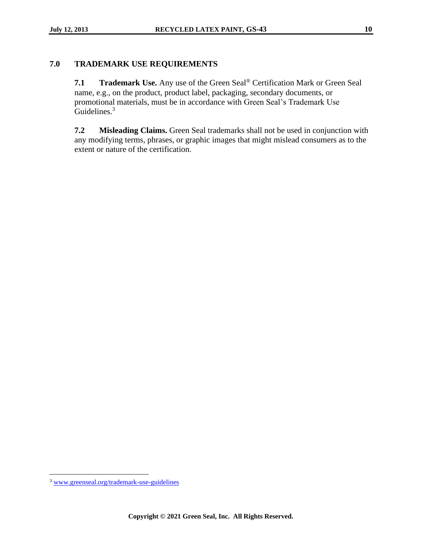#### <span id="page-9-1"></span><span id="page-9-0"></span>**7.0 TRADEMARK USE REQUIREMENTS**

**7.1 Trademark Use.** Any use of the Green Seal® Certification Mark or Green Seal name, e.g., on the product, product label, packaging, secondary documents, or promotional materials, must be in accordance with Green Seal's Trademark Use Guidelines.<sup>3</sup>

<span id="page-9-2"></span>**7.2 Misleading Claims.** Green Seal trademarks shall not be used in conjunction with any modifying terms, phrases, or graphic images that might mislead consumers as to the extent or nature of the certification.

<sup>3</sup> [www.greenseal.org/trademark-use-guidelines](http://www.greenseal.org/trademark-use-guidelines)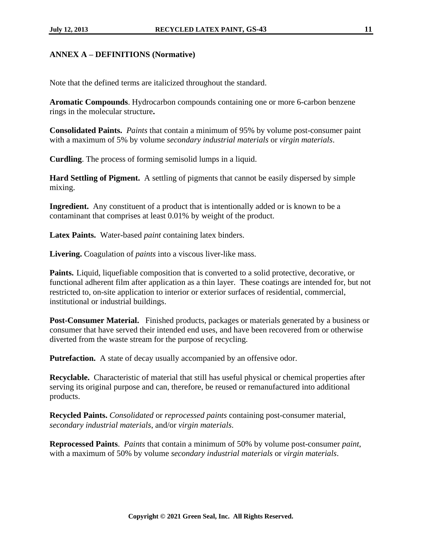#### <span id="page-10-0"></span>**ANNEX A – DEFINITIONS (Normative)**

Note that the defined terms are italicized throughout the standard.

**Aromatic Compounds**. Hydrocarbon compounds containing one or more 6-carbon benzene rings in the molecular structure**.** 

**Consolidated Paints.** *Paints* that contain a minimum of 95% by volume post-consumer paint with a maximum of 5% by volume *secondary industrial materials* or *virgin materials*.

**Curdling**. The process of forming semisolid lumps in a liquid.

**Hard Settling of Pigment.** A settling of pigments that cannot be easily dispersed by simple mixing.

**Ingredient.** Any constituent of a product that is intentionally added or is known to be a contaminant that comprises at least 0.01% by weight of the product.

**Latex Paints.** Water-based *paint* containing latex binders.

**Livering.** Coagulation of *paints* into a viscous liver-like mass.

**Paints.** Liquid, liquefiable composition that is converted to a solid protective, decorative, or functional adherent film after application as a thin layer. These coatings are intended for, but not restricted to, on-site application to interior or exterior surfaces of residential, commercial, institutional or industrial buildings.

**Post-Consumer Material.** Finished products, packages or materials generated by a business or consumer that have served their intended end uses, and have been recovered from or otherwise diverted from the waste stream for the purpose of recycling.

**Putrefaction.** A state of decay usually accompanied by an offensive odor.

**Recyclable.** Characteristic of material that still has useful physical or chemical properties after serving its original purpose and can, therefore, be reused or remanufactured into additional products.

**Recycled Paints.** *Consolidated* or *reprocessed paints* containing post-consumer material, *secondary industrial materials*, and/or *virgin materials*.

**Reprocessed Paints**. *Paints* that contain a minimum of 50% by volume post-consumer *paint*, with a maximum of 50% by volume *secondary industrial materials* or *virgin materials*.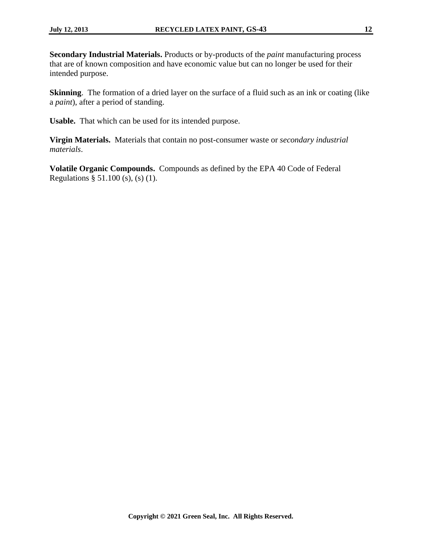**Secondary Industrial Materials.** Products or by-products of the *paint* manufacturing process that are of known composition and have economic value but can no longer be used for their intended purpose.

**Skinning**. The formation of a dried layer on the surface of a fluid such as an ink or coating (like a *paint*), after a period of standing.

**Usable.** That which can be used for its intended purpose.

**Virgin Materials.** Materials that contain no post-consumer waste or *secondary industrial materials*.

**Volatile Organic Compounds.** Compounds as defined by the EPA 40 Code of Federal Regulations § 51.100 (s), (s) (1).